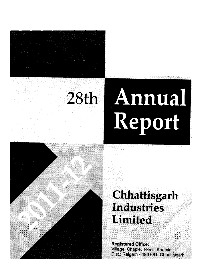

# <sup>28</sup>**th Annual Report**

# **Chhattisgarh Industries Limited**

**Registered Office: Village: Chaple, Tehsil: Kharsia, Dist.: Raigarh - 496 661, Chhattisgarh**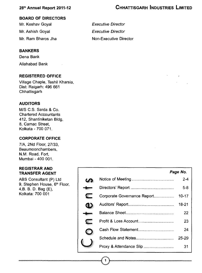$\overline{I}$ 

#### **BOARD OF DIRECTORS**

Mr. Keshav Goyal Mr. Ashish Goyal Mr. Ram Bharos Jha

#### **BANKERS**

Dena Bank Allahabad Bank

#### **REGISTERED OFFICE**

Village Chaple, Teshil Kharsia, Dist: Raigarh: 496 661 **Chhattisgarh** 

#### **AUDITORS**

M/S C.S. Sarda & Co. Chartered Accountants 412, Shantiniketan BIdg, 8, Camac Street, Kolkata - 700 071.

#### **CORPORATE OFFICE**

7/A, 2Nd Floor, 27/33, Beaumoonchambers, N.M. Road, Fort, Mumbai - 400 001.

#### **REGISTRAR AND TRANSFER AGENT**

ABS Consultant (P) Ltd 9, Stephen House, 6<sup>th</sup> Floor, 4,B. B. D. Bag (E), Kolkata: 700 001

|                             | Page No.  |
|-----------------------------|-----------|
|                             | $2 - 4$   |
|                             | $5-8$     |
| Corporate Governance Report | $10 - 17$ |
|                             | 18-21     |
|                             | 22        |
| Profit & Loss Account       | 23        |
|                             | 24        |
|                             | 25-29     |
|                             | 31        |
|                             |           |

*Executive Director Executive Director* Non-Executive Director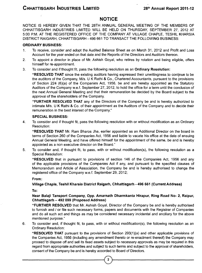#### **NOTICE**

NOTICE IS HEREBY GIVEN THAT THE 28TH ANNUAL GENERAL MEETING OF THE MEMBERS OF CHHATTISGARH INDUSTRIES LIMITED WILL BE HELD ON THURSDAY, SEPTEMBER 27, 2012 AT 5:00 P.M. AT THE REGISTERED OFFICE OF THE COMPANY AT VILLAGE CHAPLE, TESHIL KHARSIA DISTRICT RAIGARH, CHHATTISGARH - 496 661 TO TRANSACT THE FOLLOWING BUSINESS;

#### **ORDINARY BUSINESS:**

- 1. To receive, consider *and* adopt the Audited Balance Sheet as on March 31, 2012 and Profit and Loss Account for the year ended on that date and the Reports of the Directors and Auditors thereon.
- 2. To appoint a director in place of Mr. Ashish Goyal, who retires by rotation and being eligible, offers himself for re-appointment.
- 3. To consider and if thought fit, pass the following resolution as an **Ordinary Resolution:**

**"RESOLVED THAT** since the existing auditors having expressed their unwillingness to continue to be the auditors ofthe Company, M/s. U K Rathi & Co., Chartered Accountants, pursuant to the provisions of Section 224 (6)(a) of the Companies Act, 1956, be and are hereby appointed as the Statutory Auditors of the Company w.e.f. September 27, 2012, to hold the office for a term until the conclusion of the next Annual General Meeting and that their remuneration be decided by the Board subject to the approval of the shareholders of the Company.

**"FURTHER RESOLVED THAT** any of the Directors of the Company be and is hereby authorized to intimate M/s. U K Rathi & Co. of their appointment as the Auditors of the Company and to decide their remuneration in the best interest of the Company."

#### **SPECIAL BUSINESS;**

4. To consider and if thought fit, pass the following resolution with or without modification as an Ordinary Resolution:

**"RESOLVED THAT** Mr. Ram Bharos Jha, earlier appointed as an Additional Director on the board in terms of Section 260 of the Companies Act, 1956 and liable to vacate his office at the date of ensuing Annual General Meeting, and have offered himself for the appointment of the same, be and is hereby appointed as a non executive director on the Board."

5. To consider and, if thought fit, to pass, with or without modification(s), the following resolution as a Special Resolution:

**"RESOLVED** that in pursuant to provisions of section 146 of the Companies Act, 1956 and any of the applicable provisions of the Companies Act if any, and pursuant to the specified clauses of Memorandum and Article of Association, the Company be and is hereby authorised to change the registered office of the Company w.e.f. September 29, 2012;

**From:**

**Village Chaple, Teshil Kharsia District Raigarh, Chhattisgarh - 496 661 (Current Address)**

**To:**

#### **Near Balaji Tansport** *Company, 0pp.* **Amarnath Dharmkanta Hirapur, Ring Road No- 2, Raipur, Chhattisgarh - 492 099 (Proposed Address)**

**"FURTHER RESOLVED** that Mr. Ashish Goyal, Director ofthe Company be and is hereby authorised to furnish and / or file such necessary forms, papers and documents with the Registrar of Companies and do all such act and things as may be considered necessary incidental and ancillary for the above mentioned purpose."

6. To consider and, if thought fit, to pass, with or without modification(s), the following resolution as an Ordinary Resolution:

**"RESOLVED THAT** pursuant to the provisions of Section 293(1 )(a) and other applicable provisions of the Companies Act, 1956 (including any amendment thereto or re-enactment thereof) the Company may proceed to dispose off and sell its fixed assets subject to necessary approvals as may be required in this regard from appropriate authorities and subject to such terms and subject to the approval of shareholders, consent of the Company be and is hereby accorded to Board of Directors.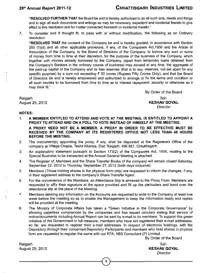**"RESOLVED FURTHER THAT** the Board be and is hereby authorized to do all such acts, deeds and things and to sign all such documents and writings as may be necessary, expedient and incidental thereto to give effect to this resolution and for matter connected therewith or incidental thereto."

7. To consider and if thought fit, to pass with or without modification, the following as an Ordinary resolution:

**"RESOLVED THAT** the consent of the Company be and is hereby granted, in accordance with Section 293 (1)(d) and all other applicable provisions, if any, of the Companies Act,1956 and the Article of Association of the Company, to the Board of Directors of the Company, to borrow any sum or sums of money from time to time at their discretion, for the purpose of the business of the Company, which together with monies already borrowed by the Company, (apart from temporary loans obtained from the Company's Bankers in the ordinary course of business) may exceed at any time, the aggregate of the paid-up capital of the Company and its free reserves (that is to say, reserves, not set apart for any specific purpose) by a sum not exceeding ? 50 crores (Rupees Fifty Crores Cniy), and that tipe Board of Directors be and is hereby empowered and authorized to arrange or fix the terms and condition or all such monies to be borrowed from time to time as to interest repayment, security or otherwise as it may think fit."

Raigarh III anns an t-Iomraidh anns an t-Iomraidh anns an t-Iomraidh anns an t-Iomraidh an t-Iomraidh an t-Iomr

By Order of the Board August 25, 2012 **KESHAV GOYAL** *Director*

#### **NOTES:**

- **1. A MEMBER ENTITLED TO ATTEND AND VOTE AT THE MEETING, IS ENTITLED TO APPOINT A PROXY TO ATTEND AND ON A POLL TO VOTE INSTEAD OF HIMSELF AT THE MEETING. A PROXY NEED NOT BE A MEMBER. A PROXY IN ORDER TO BE EFFECTIVE MUST BE RECEIVED BY THE COMPANY AT ITS REGISTERED OFFICE NOT LESS THAN 48 HOURS BEFORE THE MEETING.**
- 2. The instrument(s) appointing the proxy, if any, shali be deposited at the Registered Office of the company at Village Chaple, Teshil Kharsia, Dist: Raigarh: 496 661, Chhattisgarh.
- 3. An explanatory statement pursuant to Section 173(2) of the Companies Act, 1956, reiating to the Special Business to be transacted at the Annual General Meeting is attached.
- 4. The Register of, Members and the Share Transfer Books of the company will remain closed Saturday, September 22, 2012 to Thursday, September 27, 2012 (both days inclusive).
- 5. Members (Those holding shares in the physical form only) are requested to inform the changes, if any, in their registered address to the company's Share Transfer Agent.
- 6. For the convenience of the Members, an Attendance Slip is annexed to the Proxy Form. Members are requested to affix their signature at the space provided and fill up the particulars and hand over the attendance slip at the place of the Meeting.
- 7. Members desiring any information on the Accounts are requested to write to the Company at least one week before the meeting so as to enable the Management to keep the information ready and replies will be provided at the meeting.
- 8. The Ministry of Corporate Affairs has taken a "Green Initiative in the Corporate Governance" by allowing paperless compliances by the companies and has issued circulars stating that service of notice/documents including Annual Report can be sent by e-mail to its members. To support this green initiative of the Government in full measure, members who have not registered their e-mail addresses, so far, are requested to register their e-mail addresses. In respect of electronic holdings, with the Depository through their concerned Depository Participants and members who hold shares in physical form are requested to register the same with our RTA, ABS Consultant (P) Limited.

By Order of the Board

Raigarh III anns an t-Iomraidh anns an t-Iomraidh anns an t-Iomraidh anns an t-Iomraidh an t-Iomraidh an t-Iomr August 25, 2012 **KESHAV GOYAL**

*Director*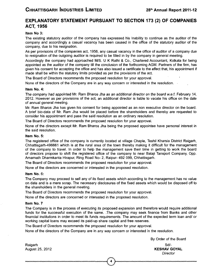#### **EXPLANATORY STATEMENT PURSUANT TO SECTION 173 (2) OF COMPANIES ACT, 1956**

#### **Item No 3:**

The existing statutory auditor of the company has expressed his inability to continue as the auditor of the company and accordingly a casual vacancy has been caused in the office of the statutory auditor of the company, due to his resignation.

As per provisions of the companies act, 1956, any casual vacancy in the office of auditor of a company due to resignation of the outgoing auditor is required to be filled in by the company in general meeting.

Accordingly the company had approached M/S. U K Rathi & Co., Chartered Accountant, Kolkata for being appointed as the auditor of the company till the conclusion of the forthcoming AGM. Partners of the firm, has given his consent for accepting the office and has also issued a certificate to the effect that, his appointment if made shall be within the statutory limits provided as per the provisions of the act.

The Board of Directors recommends the proposed resolution for your approval. '

None of the directors of the Company are in any way concern or interested in the resolution.

#### **Item No. 4:**

The *company had* appointed Mr. *Ram* Bharos Jha *as an* additional director *on* the board w.e.f. February 14, 2012. However as per provisions of the act, an additional director is liable to vacate his office on the date of annual general meeting.

Mr. Ram Bharos Jha has given his consent for being appointed as an non executive director on the board. A brief bio-data of Mr. Ram Jha would be placed before the shareholders and thereby are requested to consider his appointment and pass the said resolution as an ordinary resolution.

The Board of Directors recommends the proposed resolution for your approval.

None of fhe directors except Mr. Ram Bharos Jha being the proposed appointee have personal interest in the said resolution.

#### **Item No. 5:**

The registered office of the company is currently located at village Chaple, Teshil Kharsia District Raigarh, Chhattisgarh-496661 which is at the rural area of the town thereby making it difficult for the management of the company to travel. In order to help the management save their time in getting to work the board of directors propose to shift the registered office of the company to near Balaji Tansport Company, 0pp. Amarnath Dharmkanta Hirapur, Ring Road No- 2, Raipur- 492 099, Chhattisgarh.

The Board of Directors recommends the proposed resolution for your approval.

None of the directors are concerned or interested in the proposed resolution.

#### **Item No. 6:**

The Company may proceed to sell any of its fixed assets which according to the management has no value on date and is a mere scrap. The necessary disclosures of the fixed assets which would be disposed off to the shareholders in the general meeting.

The Board of Directors recommends the proposed resolution for your approval.

None of the directors are concerned or interested in the proposed resolution.

#### **Item No. 7**

The Company is in the process of executing its proposed expansion and therefore would require additional funds for the successful execution of the same. .The company may seek finance from Banks and other financial institutions in order to meet its funds requirements. The amount of the expected term loan and/ or working capital loans may exceed its paid-up share capital and free reserves.

The Board of Directors recommends the proposed resolution for your approval.

None of the directors of the Company are in any way concern or interested in the resolution.

By Order of the Board August 25, 2012 **KESHAV GOYAL** *Director*

Raigarh III anns an t-Iad anns an t-Iad anns an t-Iad anns an t-Iad anns an t-Iad anns an t-Iad anns an t-Iad a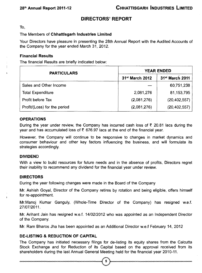#### **DIRECTORS' REPORT**

To,

#### The Members of **Chhattisgarh Industries Limited**

Your Directors have pleasure in presenting the 28th Annual Report with the Audited Accounts of the Company for the year ended March 31, 2012.

#### **Financiai Results**

The financial Results are briefly indicated below:

| <b>PARTICULARS</b>           | <b>YEAR ENDED</b> |                             |  |
|------------------------------|-------------------|-----------------------------|--|
|                              | 31st March 2012   | 31 <sup>st</sup> March 2011 |  |
| Sales and Other Income       |                   | 60,751,238                  |  |
| <b>Total Expenditure</b>     | 2,081,276         | 81,153,795                  |  |
| Profit before Tax            | (2,081,276)       | (20, 402, 557)              |  |
| Profit/(Loss) for the period | (2,081,276)       | (20, 402, 557)              |  |

#### **OPERATIONS**

During the year under review, the Company has incurred cash loss of  $\bar{\tau}$  20.81 lacs during the year and has accumulated loss of  $\bar{\tau}$  676.97 lacs at the end of the financial year.

However, the Company will continue to be responsive to changes in market dynamics and consumer behaviour and other key factors influencing the business, and will formulate its strategies accordingly.

#### **DIVIDEND**

With a view to build resources for future needs and in the absence of profits, Directors regret their inability to recommend any dividend for the financial year under review.

#### **DIRECTORS**

During the year following changes were made in the Board of the Company

Mr. Ashish Goyal, Director of the Company retires by rotation and being eligible, offers himself for re-appointment.

Mr.Manoj Kumar Ganguly, (Whole-Time Director of the Company) has resigned w.e.f. 27/07/2011.

Mr. Arihant Jain has resigned w.e.f. 14/02/2012 who was appointed as an Independent Director of the Company.

Mr. Ram Bharos Jha has been appointed as an Additional Director w.e.f February 14, 2012

#### **DE-LISTING & REDUCTION OF CAPITAL**

The Company has initiated necessary filings for de-listing its equity shares from the Calcutta Stock Exchange and for Reduction of its Capital based on the approval received from its shareholders during the last Annual General Meeting held for the financial year 2010-11.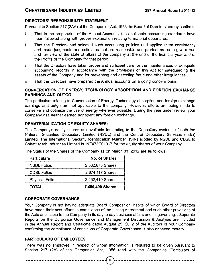#### **DIRECTORS' RESPONSIBILITY STATEMENT**

Pursuant to Section 217 (2AA) of the Companies Act, 1956 the Board of Directors hereby confirms:

- i. That in the preparation of the Annual Accounts, the applicable accounting standards have been followed along with proper explanation relating to material departures.
- ii. That the Directors had selected such accounting policies and applied them consistently and made judgments and estimates that are reasonable and prudent so as to give a true and fair view of the state of affairs of the company at the end of the financial year and of the Profits of the Company for that period.
- iii. That the Directors have taken proper and sufficient care for the maintenances of adequate accounting records in accordance with the provisions of this Act for safeguarding the assets of the Company and for preventing and detecting fraud and other irregularities.
- iv. That the Directors have prepared the Annual accounts on a going concern basis.

#### **CONVERSATION OF ENERGY, TECHNOLOGY ABSORPTION AND FOREIGN EXCHANGE EARNINGS AND OUTGO:**

The particulars relating to Conversation of Energy, Technology absorption and foreign exchange earnings and outgo are not applicable to the company. However, efforts are being made to conserve and optimize the use of energy wherever possible. During the year under review, your Company has neither earned nor spent any foreign exchange.

#### **DEMATERIALIZATION OF EQUITY SHARES;**

The Company's equity shares are available for trading in the Depository systems of both the National Securities Depository Limited (NSDL) and the Central Depository Services (India) Limited. The International Security Identification Number (ISIN) allotted by NSDL and CDSL to Chhattisgarh Industries Limited is INE473C01017 for the equity shares of your Company.

| <b>Particulars</b>    | <b>No. of Shares</b> |
|-----------------------|----------------------|
| <b>NSDL Folios</b>    | 2,562,873 Shares     |
| <b>CDSL Folios</b>    | 2,674,117 Shares     |
| <b>Physical Folio</b> | 2,252,410 Shares     |
| <b>TOTAL</b>          | 7,489,400 Shares     |

The Status of the Shares of the Company as on March 31, 2012 are as follows:

#### **CORPORATE GOVERNANCE**

Your Company is not having adequate Board Composition inspite of which Board of Directors have made their best efforts in compliance of the Listing Agreement and such other provisions of the Acts applicable to the Company in its day to day business affairs and its governing.. Separate Reports on the Corporate Governance and Management Discussion & Analysis are included in the Annual Report and Certificate dated August 25, 2012 of the Auditors of your Company confirming the compliance of conditions of Corporate Governance is also annexed thereto.

#### **PARTICULARS OF EMPLOYEES**

There was no employee in respect of whom information is required to be given pursuant to Section 217 (2A) of the Companies Act, 1956 read with the Companies (Particulars of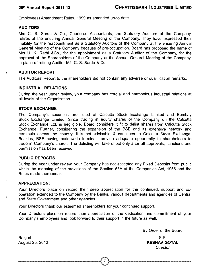Employees) Amendment Rules, 1999 as amended up-to-date.

#### **AUDITORS**

M/s C. S. Sarda & Co., Chartered Accountants, the Statutory Auditors of the Company, retires at the ensuring Annual General Meeting of the Company. They have expressed their inability for the reappointment as a Statutory Auditors of the Company at the ensuring Annual General Meeting of the Company because of pre-occupation. Board has proposed the name of M/s U. K. Rathi &Co., for the appointment as a Statutory Auditor of the Company, for the approval of the Shareholders of the Company at the Annual General Meeting of the Company, in place of retiring Auditor M/s C. S. Sarda & Co.

#### **AUDITOR REPORT**

The Auditors' Report to the shareholders did not contain any adverse or qualification remarks.

#### **INDUSTRIAL RELATIONS**

During the year under review, your company has cordial and harmonious industrial relations at all levels of the Organization.

#### **STOCK EXCHANGE**

The Company's securities are listed at Calcutta Stock Exchange Limited and Bombay Stock Exchange Limited. Since trading in equity shares of the Company on the Calcutta Stock Exchange Ltd. is negligible, Board considers it fit to delist shares from Calcutta Stock Exchange. Further, considering the expansion of the BSE and its extensive network and terminals across the country, it is not advisable & continues to Calcutta Stock Exchange. Besides, BSE having nationwide terminals provide adequate opportunity to shareholders to trade in Company's shares. The delisting will take effect only after all approvals, sanctions and permission has been received.

#### **PUBLIC DEPOSITS**

During the year under review, your Company has not accepted any Fixed Deposits from public within the meaning of the provisions of the Section 58A of the Companies Act, 1956 and the Rules made thereunder.

#### **APPRECIATION:**

Your Directors place on record their deep appreciation for the continued, support and cooperation extended to the Company by the Banks, various departments and agencies of Central and State Government and other agencies.

Your Directors thank our esteemed shareholders for your continued support.

Your Directors place on record their appreciation of the dedication and commitment of your Company's employees and look forward to their support in the future as well.

By Order of the Board

August 25, 2012 **KESHAV GOYAL** *Director*

Raigarh III anns an t-Iad anns an t-Iad anns an t-Iad anns an t-Iad anns an t-Iad anns an t-Iad anns an t-Iad a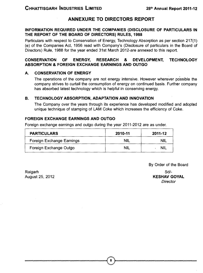#### **ANNEXURE TO DIRECTORS REPORT**

#### **INFORMATION REQUIRED UNDER THE COMPANIES (DISCLOSURE OF PARTICULARS IN THE REPORT OF THE BOARD OF DIRECTORS) RULES, 1988**

Particulars with respect to Conservation of Energy, Technology Absorption as per section 217(1) (e) of the Companies Act, 1956 read with Company's (Disclosure of particulars in the Board of Directors) Rule, 1988 for the year ended 31st March 2012-are annexed to this report.

#### **CONSERVATION OF ENERGY, RESEARCH & DEVELOPMENT, TECHNOLOGY ABSORPTION & FOREIGN EXCHANGE EARNINGS AND OUTGO**

#### **A. CONSERVATION OF ENERGY**

The operations of the company are not energy intensive. However wherever possible the company strives to curtail the consumption of energy on continued basis. Further company has absorbed latest technology which is helpful in conserving energy.

#### **B. TECHNOLOGY ABSORPTION, ADAPTATION AND INNOVATION**

The Company over the years through its experience has developed modified and adopted unique technique of stamping of LAM Coke which increases the efficiency of Coke.

#### **FOREIGN EXCHANGE EARNINGS AND OUTGO**

Foreign exchange earnings and outgo during the year 2011-2012 are as under.

| <b>PARTICULARS</b>        | 2010-11    | 2011-12 |  |
|---------------------------|------------|---------|--|
| Foreign Exchange Earnings | <b>NIL</b> | NIL     |  |
| Foreign Exchange Outgo    | <b>NIL</b> | NII     |  |

Raigarh August 25, 2012 By Order of the Board

Sd/- **KESHAV GOYAL** *Director*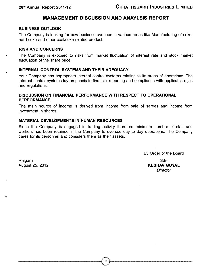# **MANAGEMENT DISCUSSION AND ANAYLSIS REPORT**

#### **BUSINESS OUTLOOK**

The Company is looking for new business avenues in various areas like Manufacturing of coke, hard coke and other coal/coke related product.

#### **RISK AND CONCERNS**

The Company is exposed to risks from market fluctuation of interest rate and stock market fluctuation of the share price.

#### **INTERNAL CONTROL SYSTEMS AND THEIR ADEQUACY**

Your Company has appropriate internal control systems relating to its areas of operations. The internal control systems lay emphasis in financial reporting and compliance with applicable rules and regulations.

#### **DISCUSSION ON FINANCIAL PERFORMANCE WITH RESPECT TO OPERATIONAL PERFORMANCE**

The main source of income is derived from income from sale of sarees and income from investment in shares.

#### **MATERIAL DEVELOPMENTS IN HUMAN RESOURCES**

Since the Company is engaged in trading activity therefore minimum number of staff and workers has been retained in the Company to oversee day to day operations. The Company cares for its personnel and considers them as their assets.

Raigarh Sd<sup>i</sup>-Saidh anns an t-Saidh anns an t-Saidh anns an t-Saidh anns an t-Saidh anns an t-Saidh anns an t-Saidh

By Order of the Board August 25, 2012 **KESHAV GOYAL** *Director*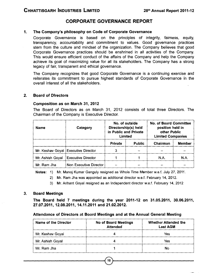#### **CORPORATE GOVERNANCE REPORT**

#### **1. The Company's philosophy on Code of Corporate Governance**

Corporate Governance is based on the principles of integrity, fairness, equity, transparency, accountability and commitment to values. Good governance practices stem from the culture and mindset of the organization. The Company believes that good Corporate Governance practices should be enshrined in all activities of the Company. This would ensure efficient conduct of the affairs of the Company and help the Company achieve its goal of maximizing value for all its stakeholders. The Company has a strong legacy of fair, transparent and ethical governance.

The Company recognizes that good Corporate Governance is a continuing exercise and reiterates its commitment to pursue highest standards of Corporate Governance in the overall interest of all the stakeholders.

#### $2<sup>1</sup>$ **Board of Directors**

#### **Composition as on March 31, 2012**

The Board of Directors as on March 31, 2012 consists of total three Directors. The Chairman of the Company is Executive Director.

| <b>Name</b>      | Category                              | No. of outside<br>Directorship(s) held<br>in Public and Private<br>Limited |        |          |               |  | <b>No. of Board Committee</b><br>position held in<br>other Public<br><b>Limited Companies</b> |  |
|------------------|---------------------------------------|----------------------------------------------------------------------------|--------|----------|---------------|--|-----------------------------------------------------------------------------------------------|--|
|                  |                                       | <b>Private</b>                                                             | Public | Chairman | <b>Member</b> |  |                                                                                               |  |
|                  | Mr. Keshav Goyal   Executive Director | 3                                                                          |        |          |               |  |                                                                                               |  |
| Mr. Ashish Goyal | <b>Executive Director</b>             |                                                                            |        | N.A.     | N.A.          |  |                                                                                               |  |
| Mr. Ram Jha      | Non Executive Director                |                                                                            |        |          |               |  |                                                                                               |  |

**Notes:** 1) Mr. Manoj Kumar Ganguly resigned as Whole Time Member w.e.f. July 27, 2011.

- 2) Mr. Ram Jha was appointed as additional director w.e.f. February 14, 2012.
- 3) Mr. Arihant Goyal resigned as an Independent director w.e.f. February 14, 2012

#### 3. **Board Meetings**

**The Board held 7 meetings during the year 2011-12 on 31.05.2011, 30.06.2011, 27.07.2011, 12.08.2011, 14.11.2011 and 21.02.2012.**

#### **Attendance of Directors at Board Meetings and at the Annual General Meeting**

| Name of the Director | No of Board Meetings<br><b>Attended</b> | <b>Whether Attended the</b><br><b>Last AGM</b> |
|----------------------|-----------------------------------------|------------------------------------------------|
| Mr. Keshav Goyal     |                                         | Yes                                            |
| Mr. Ashish Goyal     |                                         | Yes                                            |
| Mr. Ram Jha          |                                         | No                                             |

 $10$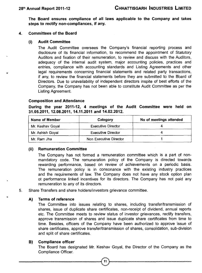**The Board ensures compliance of all laws applicable to the Company and takes steps to rectify non-compliances, if any.**

#### **4. Committees of the Board**

#### **(I) Audit Committee**

The Audit Committee oversees the Company's financial reporting process and disclosure of its financial information, to recommend the appointment of Statutory Auditors and fixation of their remuneration, to review and discuss with the Auditors, adequacy of the internal audit system, major accounting policies, practices and entries, compliance with accounting standards and Listing Agreements and other legal requirements concerning financial statements and related party transactions, if any, to review the financial statements before they are submitted to the Board of Directors. Due to unavailability of independent directors inspite of best efforts of the Company, the Company has not been able to constitute Audit Committee as per the Listing Agreement.

#### **Composition and Attendance**

**During the year 2011-12, 4 meetings of the Audit Committee were held on 31.05.2011, 12.08.2011, 14.11.2011 and 14.02.2012.**

| Name of Member   | Category                  | No of meetings attended |
|------------------|---------------------------|-------------------------|
| Mr. Keshav Goyal | <b>Executive Director</b> |                         |
| Mr. Ashish Goyal | <b>Executive Director</b> |                         |
| Mr. Ram Jha      | Non Executive Director    |                         |

#### **(ii) Remuneration Committee**

The Company has not formed a remuneration committee which is a part of nonmandatory code. The remuneration policy of the Company is directed towards rewarding performance, based on review of achievements on a periodic basis. The remuneration policy is in consonance with the existing industry practices and the requirements of law. The Company does not have any stock option plan ot performance linked incentives for its directors. The Company has not paid any remuneration to any of its directors.

5. Share Transfers and share holders/investors grievance committee.

#### **A) Terms of reference**

The Committee into issues relating to shares, including transfer/transmission of shares, issue of duplicate share certificates, non-receipt of dividend, annual reports etc. The Committee meets to review status of investor grievances, rectify transfers, approve transmission of shares and issue duplicate share certificates from time to time. Besides, officers of the Company have been authorized to approve issue of share certificates, approve transfer/transmission of shares, consolidation, sub-division and split of share certificates.

#### **B) Compliance officer**

The Board has designated Mr. Keshav Goyal, the Director of the Company as the Compliance Cfficer.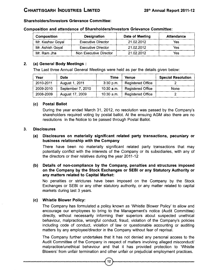#### **Shareholders/Investors Grievance Committee:**

| Composition      | <b>Designation</b>        | Date of Meeting | <b>Attendance</b> |
|------------------|---------------------------|-----------------|-------------------|
| Mr. Keshav Goyal | <b>Executive Director</b> | 21.02.2012      | Yes               |
| Mr. Ashish Goyal | <b>Executive Director</b> | 21.02.2012      | Yes               |
| Mr. Ram Jha      | Non Executive Director    | 21.02.2012      | Yes               |

#### **Com position and attendance of Shareholders/Investors Grievance Committee:**

#### $2.$ **(a) General Body Meetings :**

The Last three Annual General Meetings were held as per the details given below:

| Year      | Date              | Time         | Venue                    | <b>Special Resolution</b> |
|-----------|-------------------|--------------|--------------------------|---------------------------|
| 2010-2011 | August 1, 2011    | $-3:30$ p.m. | <b>Registered Office</b> |                           |
| 2009-2010 | September 7, 2010 | $10:30$ a.m. | Registered Office        | None                      |
| 2008-2009 | August 17, 2009   | $10:30$ a.m. | <b>Registered Office</b> |                           |

#### **(c) Postal Ballot**

During the year ended March 31, 2012, no resolution was passed by the Company's shareholders required voting by postal ballot. At the ensuing AGM also there are no resolutions in the Notice to be passed through Postal Ballot.

#### **3. Disclosures**

#### **(a) Disclosures on materially significant related party transactions, pecuniary or business relationship with the Company**

There have been no materially significant related party transactions that may potentially conflict with the interests of the Company or its subsidiaries, with any of the directors or their relatives during the year 2011-12

#### **(b) Details of non-compliance by the Company, penalties and structures imposed on the Company by the Stock Exchanges or SEBI or any Statutory Authority or any matters related to Capital Market:**

No penalties or strictures have been imposed on the Company by the Stock Exchanges or SEBI or any other statutory authority, or any matter related to capital markets during last 3 years.

#### **(c) Whistle Blower Policy:**

The Company has formulated a policy known as 'Whistle Blower Policy' to allow and encourage our employees to bring to the Management's notice (Audit Committee) directly, without necessarily informing their superiors about suspected unethical behaviour, malpractice, wrongful conduct, fraud, violation of the Company's policies including code of conduct, violation of law or questionable accounting or auditing matters by any employee/director in the Company without fear of reprisal.

The Company further undertakes that it has not denied any personal access to the Audit Committee of the Company in respect of matters involving alleged misconduct/ malpractice/unethical behaviour and that it has provided protection to 'Whistle Blowers' from unfair termination and other unfair or prejudicial employment practices.

12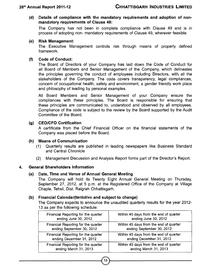**(d) Details of compliance with the mandatory requirements and adoption of nonmandatory requirements of Clause 49:**

The Company has not been in complete compliance with Clause 49 and is in process of adopting non- mandatory requirements of Clause 49, wherever feasible.

#### **(e) Risk Management:**

The Executive Management controls risk through means of properly defined framework.

#### **(f) Code of Conduct:**

The Board of Directors of your Company has laid down the Code of Conduct for all Board of Members and Senior Management of the Company, which delineates the principles governing the conduct of employees including Directors, with, all the stakeholders of the Company. The code covers transparency, legal compliances, concern of occupational health, safety and environment, a gender friendly work place and philosophy of leading by personal examples.

All Board Members and Senior Management of your Company ensure the compliances with these principles. The Board is responsible for ensuring that these principles are communicated to, understood and observed by all employees. Compliance of the code is subject to the review by the Board supported by the Audit Committee of the Board.

#### **(g) CEO/CFO Certification**

A certificate from the Chief Financial Cfficer on the financial statements of the Company was placed before the Board.

#### **(h) Means of Communication**

- (1) Quarterly results are published in leading newspapers like. Business Standard and Central Chronicle
- (2) Management Discussion and Analysis Report forms part of the Director's Report.

#### **4. General Shareholders Information**

#### **(a) Date, Time and Venue of Annual General Meeting**

The Company will hold its Twenty Eight Annual General Meeting on Thursday, September 27, 2012, at 5 p.m. at the Registered Office of the Company at Village Chaple, Tehsil, Dist. Raigrah Chhattisgarh.

#### **(b) Financial Calendar(tentative and subject to change)**

The Company expects to announce the unaudited quarterly results for the year 2012- 13 as per the following schedule:

| Financial Reporting for the quarter | Within 45 days from the end of quarter |
|-------------------------------------|----------------------------------------|
| ending June 30, 2012                | ending June 30, 2012                   |
| Financial Reporting for the quarter | Within 45 days from the end of quarter |
| ending September 30, 2012           | ending September 30, 2012              |
| Financial Reporting for the quarter | Within 45 days from the end of quarter |
| ending December 31, 2012            | ending December 31, 2012               |
| Financial Reporting for the quarter | Within 45 days from the end of quarter |
| ending March 31, 2013               | ending March 31, 2013                  |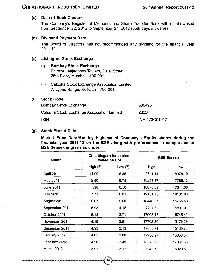#### **(c) Date of Book Closure**

The Company's Register of Members and Share Transfer Book will remain closed from September 22, 2012 to September 27, 2012 (both days inclusive)

#### **(d) Dividend Payment Date**

The Board of Directors has not recommended any dividend for the financial year 2011- 12.

#### **(e) Listing on Stock Exchange**

#### **(i) Bombay Stock Exchange**

Phiroze Jeejeebhoy Towers, Dalai Street, 25th Floor, Mumbai - 400 001

(ii) Calcutta Stock Exchange Association Limited 7, Lyons Range, Kolkatta - 700 001.

#### **(f) Stock Code**

| Bombay Stock Exchange                       | 530495        |
|---------------------------------------------|---------------|
| Calcutta Stock Exchange Association Limited | 28050         |
| ISIN                                        | INE 473C01017 |

#### **(g) Stock Market Date**

**Market Price Date-Monthly high/low of Company's Equity shares during the financial year 2011-12 on the BSE along with performance in comparison to BSE Sensex is given as under:**

| Month             | <b>Chhattisgarh Industries</b><br><b>Limited on BSE</b> |           | <b>BSE Sensex</b> |          |
|-------------------|---------------------------------------------------------|-----------|-------------------|----------|
|                   | High $(₹)$                                              | Low $(₹)$ | High              | Low      |
| April 2011        | 11.00                                                   | 6.36      | 19811.14          | 18976.19 |
| May 2011          | 8.50                                                    | 6.75      | 19253.87          | 17786.13 |
| June 2011         | 7.98                                                    | 6.50      | 18873.39          | 17314.38 |
| <b>July 2011</b>  | 7.71                                                    | 6.01      | 19131.70          | 18131.86 |
| August 2011       | 6.67                                                    | 5.60      | 18440.07          | 15765.53 |
| September 2011    | 5.93                                                    | 4.15      | 17211.80          | 15801.01 |
| October 2011      | 5.13                                                    | 3.71      | 17908.13          | 15745.43 |
| November 2011     | 4.18                                                    | 3.81      | 17702.26          | 15478.69 |
| December 2011     | 4.93                                                    | 3.13      | 17003.71          | 15135.86 |
| January 2012      | 4.65                                                    | 3.06      | 17258.97          | 15358.02 |
| February 2012     | 4.96                                                    | 3.49      | 18523.78          | 17061.55 |
| <b>March 2012</b> | 3.92                                                    | 3.17      | 18040.69          | 16920.61 |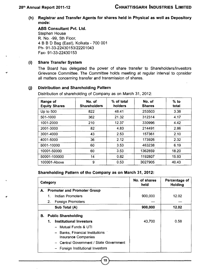**(h) Registrar and Transfer Agents for shares held in Physical as well as Depository mode:**

**ABS Consultant Pvt. Ltd.** Stephen House R. No. -99, 5th Floor, 4 B B D Bag (East), Kolkata - 700 001 Ph- 91-33-22430153/22201043 Fax- 91-33-22430153

#### **(i) Share Transfer System**

The Board has delegated the power of share transfer to Shareholders/Investors Grievance Committee. The Committee holds meeting at regular interval to consider all matters concerning transfer and transmission of shares.

#### **(j) Distribution and Shareholding Pattern**

Distribution of shareholding of Company as on March 31, 2012:

| Range of<br><b>Equity Shares</b> | No. of<br><b>Shareholders</b> | % of total<br>holders | No. of<br><b>Shares</b> | $%$ to<br>total |
|----------------------------------|-------------------------------|-----------------------|-------------------------|-----------------|
| Up to $500$                      | 822                           | 48.41                 | 253503                  | 3.38            |
| 501-1000                         | 362                           | 21.32                 | 312314                  | 4.17            |
| 1001-2000                        | 210                           | 12.37                 | 330996                  | 4.42            |
| 2001-3000                        | 82                            | 4.83                  | 214491                  | 2.86            |
| 3001-4000                        | 43                            | 2.53                  | 157361                  | 2.10            |
| 4001-5000                        | 36                            | 2.12                  | 173926                  | 2.32            |
| 5001-10000                       | 60                            | 3.53                  | 463238                  | 6.19            |
| 10001-50000                      | 60                            | 3.53                  | 1362859                 | 18.20           |
| 50001-100000                     | 14                            | 0.82                  | 1192807                 | 15.93           |
| 100001-Above                     | 9                             | 0.53                  | 3027905                 | 40.43           |

#### **Shareholding Pattern of the Company as on March 31, 2012:**

|    | Category |                                                        | No. of shares<br>held | Percentage of<br>Holding |
|----|----------|--------------------------------------------------------|-----------------------|--------------------------|
| А. |          | <b>Promoter and Promoter Group</b>                     |                       |                          |
|    | 1.       | Indian Promoters                                       | 900,000               | 12.02                    |
|    | 2.       | <b>Foreign Promoters</b>                               |                       |                          |
|    |          | Sub Total (A)                                          | 900,000               | 12.02                    |
| В. |          | <b>Public Shareholding</b>                             |                       |                          |
|    | 1.       | <b>Institutional Investors</b>                         | 43,700                | 0.58                     |
|    |          | - Mutual Funds & UTI                                   |                       |                          |
|    |          | - Banks, Financial Institutions<br>Insurance Companies |                       |                          |
|    |          | Central Government / State Government                  |                       |                          |
|    |          | Foreign Institutional Investors                        |                       |                          |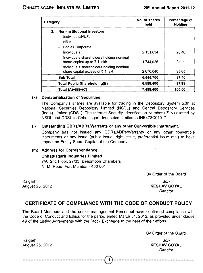| Category       |                                                                                     | No. of shares<br>held | Percentage of<br>Holding |  |
|----------------|-------------------------------------------------------------------------------------|-----------------------|--------------------------|--|
| 2 <sub>1</sub> | <b>Non-Institutional Investors</b>                                                  |                       |                          |  |
|                | Individuals/HUFs                                                                    |                       |                          |  |
|                | <b>NRIS</b>                                                                         |                       |                          |  |
|                | <b>Bodies Corporate</b>                                                             |                       |                          |  |
|                | Individuals                                                                         | 2.131.634             | 28.46                    |  |
|                | Individuals shareholders holding nominal<br>share capital up to $\bar{\tau}$ 1 lakh | 1.744.026             | 23.29                    |  |
|                | Individuals shareholders holding nominal                                            |                       |                          |  |
|                | share capital excess of ₹1 lakh                                                     | 2,670,040             | 35.65                    |  |
|                | <b>Sub Total</b>                                                                    | 6,545,700             | 87.40                    |  |
|                | <b>Total Public Shareholding(B)</b>                                                 | 6,589,400             | 87.98                    |  |
|                | Total (A)+(B)+(C)                                                                   | 7,489,400             | 100.00                   |  |

#### **(k) Dematerialization of Securities**

The Company's shares are available for trading in the Depository System both at National Securities Depository Limited (NSDL) and Central Depository Services (India) Limited (CDSL). The Internet Security Identification Number (ISIN) allotted by NSDL and CDSL to Chhattisgarh Industries Limited is INE473C01017.

#### **(I) Outstanding GDRs/ADRs/Warrants or any other Convertible Instrument.**

Company has not issued any GDRs/ADRs/Warrants or any other convertible instruments or any issue (public issue, right issue, preferential issue etc.) to have impact on Equity Share Capital of the Company.

#### **(m) Address for Correspondence**

#### **Chhattisgarh Industries Limited**

7/A, 2nd Floor, 27/33, Beaumoon Chambers N. M. Road, Fort Mumbai - 400 001

By Order of the Board

Raigarh August 25, 2012

Sd/- **KESHAV GOYAL** *Director*

# CERTIFICATE OF COMPLIANCE WITH THE CODE OF CONDUCT POLICY

The Board Members and the senior management Personnel have confirmed compliance with the Code of Conduct and Ethics for the period ended March 31, 2012, as provided under clause 49 of the Listing Agreements with the Stock Exchange to the best of their efforts.

By Order of the Board

Sd/- **KESHAV GOYAL** *Director*

Raigarh August 25, 2012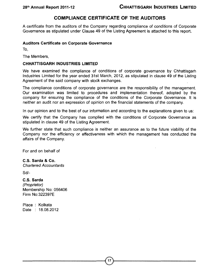#### COMPI IANCE CERTIFICATE OF THE AUDITORS

A certificate from the auditors of the Company regarding compliance of conditions of Corporate Governance as stipulated under Clause 49 of the Listing Agreement is attached to this report.

#### **Auditors Certificate on Corporate Governance**

To,

The Members,

#### **CHHATTISGARH INDUSTRIES LIMITED**

We have examined the compliance of conditions of corporate governance by Chhattisgarh Industries Limited for the year ended 31st March, 2012, as stipulated in clause 49 of the Listing Agreement of the said company with stock exchanges.

The compliance conditions of corporate governance are the responsibility of the management. Cur examination was limited to procedures and implementation thereof, adopted by the company for ensuring the compliance of the conditions of the Corporate Governance. It is neither an audit nor an expression of opinion on the financial statements of the company.

In our opinion and to the best of our information and according to the explanations given to us:

We certify that the Company has complied with the conditions of Corporate Governance as stipulated in clause 49 of the Listing Agreement.

We further state that such compliance is neither an assurance as to the future viability of the Company nor the efficiency or effectiveness with which the management has conducted the affairs of the Company.

For and on behalf of

#### **C.S. Sarda & Co.**

*Chartered Accountants*

Sd/-

#### **C.S. Sarda**

*(Proprietor)* Membership No: 056406 Firm No:322397E

Place : Kolkata Date : 18.08.2012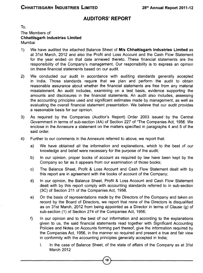#### **AUDITORS' REPORT**

To, The Members of **Chhattisgarh Industries Limited** Mumbai

- 1) We have audited the attached Balance Sheet of **M/s Chhattisgarh Industries Limited** as at 31st March, 2012 and also the Profit and Loss Account and the Cash Flow Statement for the year ended on that date annexed thereto. These financial statements are the responsibility of the Company's management. Our responsibility is to express an opinion on these financial statements based on our audit.
- 2) We conducted our audit in accordance with auditing standards generally accepted in India. Those standards require that we plan and perform the audit to obtain reasonable assurance about whether the financial statements are free from any material misstatement. An audit includes, examining on a test basis, evidence supporting the amounts and disclosures in the financial statements. An audit also includes, assessing the accounting principles used and significant estimates made by management, as well as evaluating the overall financial statement presentation. We believe that our audit provides a reasonable basis for our opinion.
- 3) As required by the Companies (Auditor's Report) Order 2003 issued by the Central Government in terms of sub-section (4A) of Section 227 of "The Companies Act, 1956. We enclose in the Annexure a statement on the matters specified in paragraphs 4 and 5 of the said order.
- 4) Further to our comments in the Annexure referred to above, we report that:
	- a) We have obtained all the information and explanations, which to the best of our knowledge and belief were necessary for the purpose of the audit;
	- b) In our opinion, proper books of account as required by law have been kept by the Company so far as it appears from our examination of those books;
	- c) The Balance Sheet, Profit & Loss Account and Cash Flow Statement dealt with by this report are in agreement with the books of account of the Company;
	- d) In our opinion, the Balance Sheet, Profit & Loss Account and Cash Flow Statement dealt with by this report comply with accounting standards referred to in sub-section (3C) of Section 211 of the Companies Act, 1956.
	- e) On the basis of representations made by the Directors of the Company and taken on record by the Board of Directors, we report that none of the Directors is disqualified as on 31st March, 2012 from being appointed as a Director in terms of Clause (g) of sub-section (1) of Section 274 of the Companies Act, 1956;
	- f) In our opinion and to the best of our information and according to the explanations given to us, the said financial statements read together with Significant Accounting Policies and Notes on Accounts forming part thereof, give the information required by the Companies Act, 1956, in the manner so required and present a true and fair view in conformity with the accounting principles generally accepted in India;

18

I. In the case of Balance Sheet, of the state of affairs of the Company as at 31st March 2012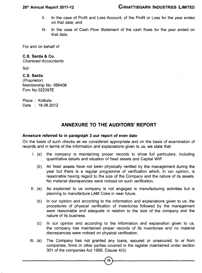#### 28th Annual Report 2011-12

#### **CHHATTISGARH INDUSTRIES LIMITED**

- II. In the case of Profit and Loss Account, of the Profit or Loss for the year ended on that date; and
- III. In the case of Cash Flow Statement of the cash flows for the year ended on that date.

For and on behalf of

#### **C.S. Sarda & Co.**

*Chartered Accountants*

Sd/-

**C.S. Sarda** *(Proprietor)* Membership No: 056406 Firm No:322397E

Place : Kolkata Date : 18.08.2012

#### ANNEXURE TO THE AUDITORS' REPORT

#### **Annexure referred to in paragraph 3 our report of even date**

Cn the basis of such checks as we considered appropriate and on the basis of examination of records and in terms of the information and explanations given to us, we state that:

- I. (a) the company is maintaining proper records to show full particulars, including quantitative details and situation of fixed assets and Capital WIP.
	- (b) All fixed assets have not been physically verified by the management during the year but there is a regular programme of verification which, in our opinion, is reasonable having regard to the size of the Company and the nature of its assets. No material discrepancies were noticed on such verification.
- II. (a) As explained to us company is not engaged in manufacturing activities but is planning to manufacture LAM Coke in near future.
	- (b) In our opinion and according to the information and explanations given to us, the procedures of physical verification of inventories followed by the management were reasonable and adequate in relation to the size of the company and the nature of its business.
	- (c) In our opinion and according to the information and explanation given to us, the company has maintained proper records of its inventories and no material discrepancies were noticed on physical verification.
- III. (a) The Company has not granted any loans, secured or unsecured, to or from companies, firms or other parties covered in the register maintained under section 301 of the companies Act 1956, Clause 4(iii)

**1 ?**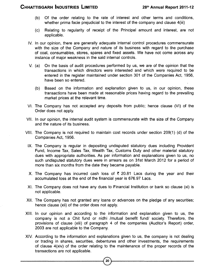- (b) Of the order relating to the rate of interest and other terms and conditions, whether prima facie prejudicial to the interest of the company and clause 4(iii)
- (c) Relating to regularity of receipt of the Principal amount and interest, are not applicable.
- IV. In our opinion, there are generally adequate internal control procedures commensurate with the size of the Company and nature of its business with regard to the purchase of coal, consumables, stores, spares and fixed assets. We have not come across any instance of major weakness in the said internal controls.
- V. (a) On the basis of audit procedures performed by us, we are of the opinion that the transactions in which directors were interested and which were required to be entered in the register maintained under section 301 of the Companies Act, 1956, have been so entered.
	- (b) Based on the information and explanation given to us, in our opinion, these transactions have been made at reasonable prices having regard to the prevailing market prices at the relevant time.
- VI. The Company has not accepted any deposits from public; hence clause (VI) of the Order does not apply.
- VII. In our opinion, the internal audit system is commensurate with the size of the Company and the nature of its business.
- VIII. The Company is not required to maintain cost records under section 209(1) (d) of the Companies Act, 1956.
	- IX. The Company is regular in depositing undisputed statutory dues including Provident Fund, Income Tax, Sales Tax, Wealth Tax, Customs Duty and other material statutory dues with appropriate authorities. As per information and explanations given to us, no such undisputed statutory dues were in arrears as on 31st March 2012 for a period of more than six months from the date they became payable.
	- X. The Company has incurred cash loss of  $\bar{\tau}$  20.81 Lacs during the year and their accumulated loss at the end of the financial year is 676.97 Lacs.
	- XI. The Company does not have any dues to Financial Institution or bank so clause (xi) is not applicable.
- XII. The Company has not granted any loans or advances on the pledge of any securities: hence clause (xii) of the order does not apply.
- XIII. In our opinion and according to the information and explanation given to us, the company is not a Chit fund or nidhi /mutual benefit fund/ society. Therefore, the provisions of clause (xiii) of paragraph 4 of the companies (Auditor's Report) order, 2003 are not applicable to the Company.
- XIV. According to the information and explanations given to us, the company is not dealing or trading in shares, securities, debentures and other investments, the requirements of clause 4(xiv) of the order relating to the maintenance of the proper records of the transactions are not applicable.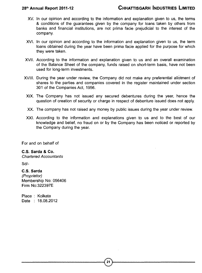- XV. In our opinion and according to the information and explanation given to us, the terms & conditions of the guarantees given by the company for loans taken by others from banks and financial institutions, are not prima facie prejudicial to the interest of the company.
- XVI. In our opinion and according to the information and explanation given to us, the term loans obtained during the year have been prima facie applied for the purpose for which they were taken.
- XVII. According to the information and explanation given to us and an overall examination of the Balance Sheet of the company, funds raised on short-term basis, have not been used for long-term investments.
- XVIII. During the year under review, the Company did not make any preferential allotment of shares to the parties and companies covered in the register maintained under section 301 of the Companies Act, 1956.
	- XIX. The Company has not issued any secured debentures during the year, hence the question of creation of security or charge in respect of debenture issued does not apply.
	- XX. The company has not raised any money by public issues during the year under review.
	- XXI. According to the information and explanations given to us and to the best of our knowledge and belief, no fraud on or by the Company has been noticed or reported by the Company during the year.

For and on behalf of

#### **C.S. Sarda & Co.**

*Chartered Accountants*

Sd/-

#### **C.S. Sarda**

*(Proprietor)* Membership No: 056406 Firm No:322397E

Place : Kolkata Date : 18.08.2012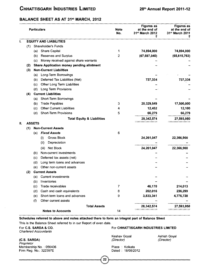#### **BALANCE SHEET AS AT 31" MARCH, 2012**

|     |     |               | <b>Particulars</b>                               | <b>Note</b><br>No. | <b>Figures as</b><br>at the end of<br>31st March 2012<br>₹ | <b>Figures as</b><br>at the end of<br>31st March 2011 |
|-----|-----|---------------|--------------------------------------------------|--------------------|------------------------------------------------------------|-------------------------------------------------------|
| ı.  |     |               | <b>EQUITY AND LIABILITIES</b>                    |                    |                                                            |                                                       |
|     | (1) |               | Shareholder's Funds                              |                    |                                                            |                                                       |
|     |     |               | (a) Share Capital                                | 1                  | 74,894,000                                                 | 74,894,000                                            |
|     |     | (b)           | Reserves and Surplus                             | $\overline{2}$     | (67, 697, 040)                                             | (65, 615, 763)                                        |
|     |     | (c).          | Money received against share warrants            |                    |                                                            |                                                       |
|     | (2) |               | <b>Share Application money pending allotment</b> |                    |                                                            |                                                       |
|     | (3) |               | <b>Non-Current Liabilities</b>                   |                    |                                                            |                                                       |
|     |     | (a)           | Long-Term Borrowings                             |                    |                                                            |                                                       |
|     |     | (b)           | Deferred Tax Liabilities (Net)                   |                    | 737,334                                                    | 737.334                                               |
|     |     | (c)           | Other Long Term Liabilities                      |                    |                                                            |                                                       |
|     |     | (d)           | <b>Long Term Provisions</b>                      |                    |                                                            |                                                       |
|     | (4) |               | <b>Current Liabilities</b>                       |                    |                                                            |                                                       |
|     |     | (a)           | Short-Term Borrowings                            |                    |                                                            |                                                       |
|     |     | (b)           | <b>Trade Payables</b>                            | 3                  | 20,329,549                                                 | 17,500,000                                            |
|     |     | (c)           | Other Current Liabilities                        | 4                  | 12,452                                                     | 12,100                                                |
|     |     | (d)           | <b>Short-Term Provisions</b>                     | 5                  | 66,279                                                     | 66,279                                                |
|     |     |               | <b>Total Equity &amp; Liabilities</b>            |                    | 28,342,574                                                 | 27,593,950                                            |
| 11. |     | <b>ASSETS</b> |                                                  |                    |                                                            |                                                       |
|     | (1) |               | <b>Non-Current Assets</b>                        |                    |                                                            |                                                       |
|     |     | (a)           | <b>Fixed Assets</b>                              | 6                  |                                                            |                                                       |
|     |     |               | Gross Block<br>(i)                               |                    | 24,261,047                                                 | 22,366,900                                            |
|     |     |               | (ii)<br>Depreciation                             |                    |                                                            |                                                       |
|     |     |               | Net Block<br>(iii)                               |                    | 24,261,047                                                 | 22,366,900                                            |
|     |     | (b)           | Non-current investments                          |                    |                                                            |                                                       |
|     |     | (c)           | Deferred tax assets (net)                        |                    |                                                            |                                                       |
|     |     | (d)           | Long term loans and advances                     |                    |                                                            |                                                       |
|     |     | (e)           | Other non-current assets                         |                    |                                                            |                                                       |
|     | (2) |               | <b>Current Assets</b>                            |                    |                                                            |                                                       |
|     |     | (a)           | <b>Current investments</b>                       |                    |                                                            |                                                       |
|     |     | (b)           | Inventories                                      |                    |                                                            |                                                       |
|     |     | (c)           | Trade receivables                                | 7                  | 46,170                                                     | 214,013                                               |
|     |     | (d)           | Cash and cash equivalents                        | 8                  | 202,016                                                    | 236,299                                               |
|     |     | (e)           | Short-term loans and advances                    | 9                  | 3,833,341                                                  | 4,776,738                                             |
|     |     | (f)           | Other current assets                             |                    |                                                            |                                                       |
|     |     |               | <b>Total Assets</b>                              |                    | 28,342,574                                                 | 27,593,950                                            |
|     |     |               | <b>Notes to Accounts</b>                         | 14                 |                                                            |                                                       |

#### **Schedules referred to above and notes attached there to form an integral part of Balance Sheet**

This is the Balance Sheet referred to in our Report of even date.

*Chartered Accountants*

**(C.S. SARDA)** *Proprietor* Membership No. ; 056406 Firm Reg. No,: 322397E

#### For **C.S. SARDA & CO.** For **CHHATTISGARH INDUSTRIES LIMITED**

Keshav Goyal *(Director)*

Ashish Goyal *(Director)*

Place Kolkata Dated 18/08/2012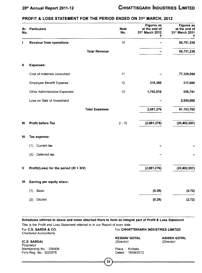#### **PROFIT & LOSS STATEMENT FOR THE PERIOD ENDED ON 31\*' MARCH, 2012**

| No. | Sr. Particulars                           | <b>Note</b><br>No. | <b>Figures as</b><br>at the end of<br>31 <sup>st</sup> March 2012<br>₹ | <b>Figures as</b><br>at the end of<br>31st March 2011<br>₹ |
|-----|-------------------------------------------|--------------------|------------------------------------------------------------------------|------------------------------------------------------------|
| ı   | <b>Revenue from operations</b>            | 10                 |                                                                        | 60,751,238                                                 |
|     | <b>Total Revenue</b>                      |                    |                                                                        | 60,751,238                                                 |
| Ш   | <b>Expenses:</b>                          |                    |                                                                        |                                                            |
|     | Cost of materials consumed                | 11                 |                                                                        | 77,328,054                                                 |
|     | Employee Benefit Expense                  | 12                 | 318,360                                                                | 317,000                                                    |
|     | Other Administrative Expenses             | 13                 | 1,762,916                                                              | 558,741                                                    |
|     | Loss on Sale of Investment                |                    |                                                                        | 2,950,000                                                  |
|     | <b>Total Expenses</b>                     |                    | 2,081,276                                                              | 81, 153, 795                                               |
| ₩   | <b>Profit before Tax</b>                  | $(1 - 1)$          | (2,081,276)                                                            | (20, 402, 557)                                             |
| IV  | Tax expense:                              |                    |                                                                        |                                                            |
|     | Current tax<br>(1)                        |                    |                                                                        |                                                            |
|     | (2)<br>Deferred tax                       |                    |                                                                        |                                                            |
| v   | Profit/(Loss) for the period $(XI + XIV)$ |                    | (2,081,276)                                                            | (20, 402, 557)                                             |
| VI  | Earning per equity share:                 |                    |                                                                        |                                                            |
|     | Basic<br>(1)                              |                    | (0.28)                                                                 | (2.72)                                                     |
|     | Diluted<br>(2)                            |                    | (0.28)                                                                 | (2.72)                                                     |

**Schedules referred to above and notes attached there to form an integral part of Profit & Loss Statement** This is the Profit and Loss Statement referred to in our Report of even date.

For **C.S. SARDA & CO.** For **CHHATTISGARH INDUSTRIES LIMITED** *Chartered Accountants* **KESHAV GOYAL ASHISH GOYAL (C.S. SARDA)** *(Director) (Director) Proprietor* Membership No.: 056406 Place : Kolkata Firm Reg. No.: 322397E Dated : 18/08/2012 23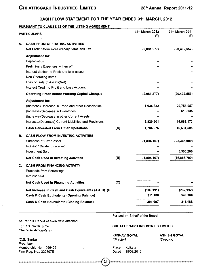#### **CASH FLOW STATEMENT FOR THE YEAR ENDED 31\*\* MARCH,**

#### **PURSUANT TO CLAUSE 32 OF THE LISTING AGREEMENT**

|    | <b>PARTICULARS</b>                                     |     | 31st March 2012<br>(₹) | 31st March 2011<br>(3) |
|----|--------------------------------------------------------|-----|------------------------|------------------------|
| А. | <b>CASH FROM OPERATING ACTIVITIES</b>                  |     |                        |                        |
|    | Net Profit before extra odinary items and Tax          |     | (2,081,277)            | (20, 402, 557)         |
|    | <b>Adjustment for:</b>                                 |     |                        |                        |
|    | Depreciation                                           |     |                        |                        |
|    | Preliminary Expenses written off                       |     |                        |                        |
|    | Interest debited to Profit and loss account            |     |                        |                        |
|    | Non Operating Items                                    |     |                        |                        |
|    | Loss on sale of Assets(Net)                            |     |                        |                        |
|    | Interest Credit to Profit and Loss Account             |     |                        |                        |
|    | <b>Operating Profit Before Working Capital Changes</b> |     | (2,081,277)            | (20, 402, 557)         |
|    | <b>Adjustment for:</b>                                 |     |                        |                        |
|    | (Increase)/Decrease in Trade and other Receivables     |     | 1,036,352              | 20,756,957             |
|    | (Increase)/Decrease in Inventories                     |     |                        | 613,935                |
|    | (Increase)/Decrease in other Current Assets            |     |                        |                        |
|    | Increase/(Decrease) Current Liabilities and Provisions |     | 2,829,901              | 15,666,173             |
|    | <b>Cash Generated From Other Operations</b>            | (A) | 1,784,976              | 16,634,508             |
| В. | <b>CASH FLOW FROM INVESTING ACTIVITIES</b>             |     |                        |                        |
|    | Purchase of Fixed asset                                |     | (1,894,167)            | (22, 366, 900)         |
|    | Interest / Dividend received                           |     |                        |                        |
|    | <b>Investment Sold</b>                                 |     |                        | 5,500,200              |
|    | Net Cash Used in Investing activities                  | (B) | (1,894,167)            | (16, 866, 700)         |
| C. | <b>CASH FROM FINANCING ACTIVITY</b>                    |     |                        |                        |
|    | Proceeds from Borrowings                               |     |                        |                        |
|    | Interest paid                                          |     |                        |                        |
|    | <b>Net Cash Used in Financing Activities</b>           | (C) |                        |                        |
|    | Net Increase in Cash and Cash Equivalents (A)+(B)+(C)  |     | (109, 191)             | (232, 192)             |
|    | Cash & Cash Equivalents (Opening Balance)              |     | 311,188                | 543,380                |
|    | <b>Cash &amp; Cash Equivalents (Closing Balance)</b>   |     | 201,997                | 311,188                |

As Per our Report of even date attached For C.S. Sarda & Co. *Chartered Accountants*

(C.S. Sarda) *Proprietor* Membership No. : 056406 Firm Reg. No.: 322397E

For and on Behalf of the Board

#### **CHHATTISGARH INDUSTRIES LIMITED**

**KESHAV GOYAL** *(Director)*

**ASHISH GOYAL** *(Director)*

Place : Kolkata Dated : 18/08/2012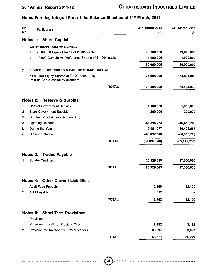#### 28th Annual Report 2011-12

#### Notes Forming Integral Part of the Balance Sheet as at 31<sup>st</sup> March, 2012

| Sr.<br>No.     | <b>Particulars</b>                                                                  |                                                      | 31st March 2012<br>(3) | 31 <sup>st</sup> March 2011<br>(₹) |
|----------------|-------------------------------------------------------------------------------------|------------------------------------------------------|------------------------|------------------------------------|
|                | <b>Notes 1: Share Capital</b>                                                       |                                                      |                        |                                    |
| 1              | <b>AUTHORIZED SHARE CAPITAL</b>                                                     |                                                      |                        |                                    |
|                | 79,00,000 Equity Shares of ₹ 10/- each.<br>a                                        |                                                      | 79,000,000             | 79,000,000                         |
|                | b                                                                                   | 10,000 Cumulative Preference Shares of ₹ 100/- each. | 1,000,000              | 1,000,000                          |
|                |                                                                                     |                                                      | 80,000,000             | 80,000,000                         |
| $\mathbf{2}$   |                                                                                     | ISSUED, SUBSCRIBED & PAID UP SHARE CAPITAL           |                        |                                    |
|                | 74,89,400 Equity Shares of ₹ 10/- each, Fully<br>Paid up Share capital by allotment |                                                      | 74,894,000             | 74,894,000                         |
|                |                                                                                     | <b>TOTAL</b>                                         | 74,894,000             | 74,894,000                         |
|                | Notes 2:<br><b>Reserve &amp; Surplus</b>                                            |                                                      |                        |                                    |
| 1              | <b>Central Government Subsidy</b>                                                   |                                                      | 1,000,000              | 1,000,000                          |
| 2              | <b>State Government Subsidy</b>                                                     |                                                      | 200,000                | 200,000                            |
| 3              | Surplus (Profit & Loss Account A/c)                                                 |                                                      |                        |                                    |
| а              | <b>Opening Balance</b>                                                              |                                                      | $-66,815,763$          | $-46, 413, 206$                    |
| b              | During the Year                                                                     |                                                      | $-2,081,277$           | $-20,402,557$                      |
| с              | <b>Closing Balance</b>                                                              |                                                      | $-68,897,040$          | $-66,815,763$                      |
|                |                                                                                     | <b>TOTAL</b>                                         | (67, 697, 040)         | (65, 615, 763)                     |
|                | Notes 3: Trades Payable                                                             |                                                      |                        |                                    |
| 1.             | <b>Sundry Creditors</b>                                                             |                                                      | 20,329,549             | 17,500,000                         |
|                |                                                                                     | <b>TOTAL</b>                                         | 20,329,549             | 17,500,000                         |
|                | <b>Notes 4: Other Current Liabilities</b>                                           |                                                      |                        |                                    |
| 1              | Audit Fees Payable                                                                  |                                                      | 12,100                 | 12,100                             |
| 2              | <b>TDS Payable</b>                                                                  |                                                      | 352                    |                                    |
|                |                                                                                     | TOTAL                                                | 12,452                 | 12,100                             |
|                | <b>Notes 5: Short Term Provisions</b>                                               |                                                      |                        |                                    |
|                | Provision                                                                           |                                                      |                        |                                    |
| $\mathbf{1}$   | Provision for FBT for Previous Years                                                |                                                      | 3,182                  | 3,182                              |
| $\overline{c}$ | Provision for Taxation for Previous Years                                           |                                                      | 63,097                 | 63,097                             |
|                |                                                                                     | <b>TOTAL</b>                                         | 66,279                 | 66,279                             |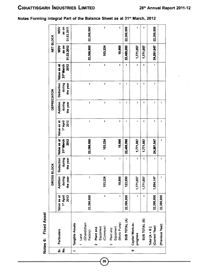| Notes Forming Integral Part of the Balance Sheet as at 31st March, 2012 |  |  |  |  |  |  |  |  |  |
|-------------------------------------------------------------------------|--|--|--|--|--|--|--|--|--|
|-------------------------------------------------------------------------|--|--|--|--|--|--|--|--|--|

|                                  |                                                             |                                  | GROSS BLOCK                    |                                        |                                               |                                 | <b>DEPRECIATON</b>             |                                 |                                              | NET BLOCK                         |                            |
|----------------------------------|-------------------------------------------------------------|----------------------------------|--------------------------------|----------------------------------------|-----------------------------------------------|---------------------------------|--------------------------------|---------------------------------|----------------------------------------------|-----------------------------------|----------------------------|
| <br>თ<br>$\overline{\mathbf{e}}$ | <b>Particulars</b>                                          | 2012<br>Value as at<br>1st April | Addition<br>during<br>the year | <b>Deduction</b><br>during<br>the year | Value as at<br>31 <sup>er</sup> March<br>2012 | Value as at<br>2012<br>1" April | Addition<br>during<br>the year | Deduction<br>during<br>the year | 2012<br>Value as at<br>31 <sup>*</sup> March | 31.03.2012<br>as on<br><b>NOW</b> | as on<br>NOM<br>31.03.2011 |
|                                  | Tangible Assets                                             |                                  |                                |                                        |                                               |                                 |                                |                                 |                                              |                                   |                            |
|                                  | (Ghandidham<br>Factory)<br>1 Land                           | 22,366,900                       | ţ                              | $\mathbf{I}$                           | 22,366,900                                    | $\mathbf{I}$                    | ı                              | J                               | $\pmb{\mathfrak{t}}$                         | 22,366,900                        | 22,366,900                 |
|                                  | <b>Plant and</b><br>Equipment<br>(Conveyar)<br>$\mathbf{r}$ | $\pmb{\mathsf{I}}$               | 103,224                        | $\mathbf{I}$                           | 103,224                                       | ı                               | $\mathbf I$                    | J                               | ŧ                                            | 103,224                           | ı                          |
|                                  | (Mono Pump)<br>Plant and<br>Equipment<br>S                  | L                                | 19,866                         | $\mathbf{I}$                           | 19,866                                        | ŧ                               | I                              | J                               | J                                            | 19,866                            | ſ                          |
|                                  | SUB TOTAL (A)                                               | 22,366,900                       | 123,090                        | $\mathbf{I}$                           | 22,489,990                                    | I                               | ı                              | J                               | Ì                                            | 22,489,990                        | 22,366,900                 |
| $\overline{a}$                   | Capital Work-in-<br>progress                                | $\mathbf i$                      | 1,771,057                      | ı                                      | 1,771,057                                     | I                               | ı                              | J                               | ŧ                                            | 1,771,057                         | ı                          |
|                                  | SUB TOTAL (B)                                               | I                                | 1,771,057                      | I                                      | 1,771,057                                     | ï                               | ۱                              | 1                               | ł                                            | 1,771,057                         | ı                          |
|                                  | (Current Year)<br>Total $[A + B]$                           | 22,366,900                       | 1,894,147                      | $\mathbf{I}$                           | 24,261,047                                    | $\mathbf{I}$                    | ł                              | ţ                               | ŧ                                            | 24,261,047                        | 22,366,900                 |
|                                  | (Previous Year)                                             | 22,366,900                       | 1                              | ţ                                      | I                                             | I                               | ı                              |                                 |                                              |                                   |                            |

 $\left[\begin{smallmatrix} 26 \ 2 \end{smallmatrix}\right]$ 

Asset **■o0)** *X* **lotes 6:** 

0000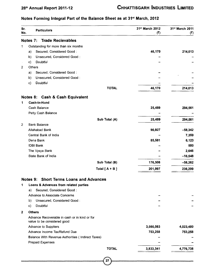#### 28th Annual Report 2011-12

#### Notes Forming Integral Part of the Balance Sheet as at 31<sup>st</sup> March, 2012

| Sr.<br>No.     |              | <b>Particulars</b>                                                           | 31 <sup>st</sup> March 2012<br>(5) | 31 <sup>st</sup> March 2011<br>(3) |
|----------------|--------------|------------------------------------------------------------------------------|------------------------------------|------------------------------------|
|                | Notes 7:     | <b>Trade Recievables</b>                                                     |                                    |                                    |
| 1              |              | Outstanding for more than six months                                         |                                    |                                    |
|                | a)           | Secured, Considered Good:                                                    | 46,170                             | 214,013                            |
|                | b)           | Unsecured, Considered Good:                                                  |                                    |                                    |
|                | $\mathbf{C}$ | Doubtful                                                                     |                                    |                                    |
| $\overline{2}$ | Others       |                                                                              |                                    |                                    |
|                | a)           | Secured, Considered Good:                                                    |                                    |                                    |
|                | b)           | Unsecured, Considered Good:                                                  |                                    |                                    |
|                | c)           | Doubtful                                                                     |                                    |                                    |
|                |              | <b>TOTAL</b>                                                                 | 46,170                             | 214,013                            |
|                |              | Notes 8: Cash & Cash Equivalent                                              |                                    |                                    |
| 1              |              | Cash-in-Hand                                                                 |                                    |                                    |
|                |              | Cash Balance                                                                 | 25,489                             | 294,561                            |
|                |              | Petty Cash Balance                                                           |                                    |                                    |
|                |              | Sub Total (A)                                                                | 25,489                             | 294,561                            |
| 2              |              | <b>Bank Balance</b>                                                          |                                    |                                    |
|                |              | Allahabad Bank                                                               | 90,927                             | $-58,342$                          |
|                |              | Central Bank of India                                                        |                                    | 7,359                              |
|                |              | Dena Bank                                                                    | 85,581                             | 6,123                              |
|                |              | <b>IDBI Bank</b>                                                             |                                    | 500                                |
|                |              | The Vysya Bank                                                               |                                    | 2,646                              |
|                |              | State Bank of India                                                          |                                    | $-16,548$                          |
|                |              | Sub Total (B)                                                                | 176,508                            | $-58,262$                          |
|                |              | Total $[A + B]$                                                              | 201,997                            | 236,299                            |
|                |              | Notes 9: Short Terms Loans and Advances                                      |                                    |                                    |
| 1              |              | Loans & Advances from related parties                                        |                                    |                                    |
|                | a)           | Secured, Considered Good:                                                    |                                    |                                    |
|                |              | Advance to Associate Concerns                                                |                                    |                                    |
|                | b)           | Unsecured, Considered Good:                                                  |                                    |                                    |
|                | C)           | Doubtful                                                                     |                                    |                                    |
| $\mathbf{2}$   |              | <b>Others</b>                                                                |                                    |                                    |
|                |              | Advance Recoverable in cash or in kind or for<br>value to be considered good |                                    |                                    |
|                |              | Advance to Suppliers                                                         | 3,080,083                          | 4,023,480                          |
|                |              | Advance Income Tax/Refund Due                                                | 753,258                            | 753,258                            |
|                |              | Balance With Revenue Authorities (Indirect Taxes)                            |                                    |                                    |
|                |              | <b>Prepaid Expenses</b>                                                      |                                    |                                    |
|                |              | <b>TOTAL</b>                                                                 | 3,833,341                          | 4,776,738                          |
|                |              |                                                                              |                                    |                                    |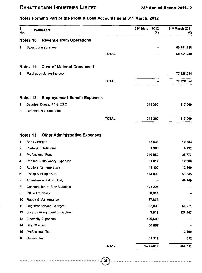#### Sr. 31st March 2012 31<sup>st</sup> March 2011 **Particulars** No. (₹)  $(3)$ **Notes 10: Revenue from Operations** 1 Sales during the year **60.751.238 TOTAL 60.751.238 Notes 11: Cost of Material Consumed** 1 Purchases during the year **77.328.054 TOTAL 77.328.054 Notes 12: Employement Benefit Expenses** 1 Salaries, Bonus, PF & ESIC **318,360 317,000** 2 Directors Remuneration **TOTAL 318,360 317,000 Notes 13; Other Administrative Expenses** 1 Bank Charges **13,533 10,883** 2 Postage & Telegram **1,988 6,232** 3 Professional Fees **719,880 25,773** 4 Printing & Stationery Expenses **61,817 12,300** 5 Auditors Remuneration **12,100 12,100** 6 Listing & Filing Fees **114,800 51,635** 7 Advertisement & Publicity - **49,949** 8 Consumption of Raw Materials **125,207** - 9 Office Expenses **38,919** - 10 Repair & Maintenance **77,874** - 11 Registrar Service Charges **65,090 60,271** 12 Loss on Assignment of Debtors **3,013 326,547** 13 Electricity Expenses **400,509** - 14 Hire Charges **66,667** - 15 Professional Tax - **2,500** 16 Service Tax **61,519 552 TOTAL 1,762,916 558,741**

#### Notes Forming Part of the Profit & Loss Accounts as at 31<sup>st</sup> March, 2012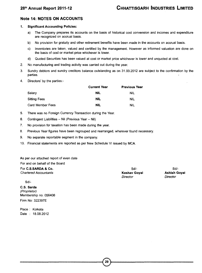#### **Note 14; NOTES ON ACCOUNTS**

#### **1. Significant Accounting Policies:**

- a) The Company prepares its accounts on the basis of historical cost convension and incomes and expenditure are recognized on accrual basis.
- b) No provision for gratuity and other retirement benefits have been made in the accounts on accrual basis.
- c) Inventories are taken, valued and certified by the management. However as informed valuation are done on the basis of cost or market price whichever is lower.
- d) Quoted Securities has been valued at cost or market price whichever is lower and unquoted at cost.
- 2. No manufacturing and trading activity was carried out during the year.
- 3. Sundry debtors and sundry creditors balance outstanding as on 31.03.2012 are subject to the confirmation by the parties.
- 4. Directors' by the parties:-

|                     | <b>Current Year</b> | <b>Previous Year</b> |
|---------------------|---------------------|----------------------|
| Salarv              | <b>NIL</b>          | NIL                  |
| <b>Sitting Fees</b> | NIL                 | <b>NIL</b>           |
| Card Member Fees    | <b>NIL</b>          | <b>NIL</b>           |

- 5. There was no Foreign Currency Transaction during the Year.
- 6. Contingent Liabilities Nil (Previous Year Nil)
- 7. No provision for taxation has been made during the year.
- 8. Previous Year figures have been regrouped and rearranged, wherever found necessary.
- 9. No separate reportable segment in the company.
- 10. Financial statements are reported as per New Schedule VI issued by MCA.

#### As per our attached report of even date

For and on behalf of the Board

| For C.S.SARDA & Co.          | -Sd/-        | -Sd/                |
|------------------------------|--------------|---------------------|
| <b>Chartered Accountants</b> | Keshav Goyal | <b>Ashish Goval</b> |
|                              | Director     | Director            |

Sd/-

**C.S. Sarda** *(Proprietor)* Membership no: 056406 Firm No: 322397E

Place : Kolkata Date : 18.08.2012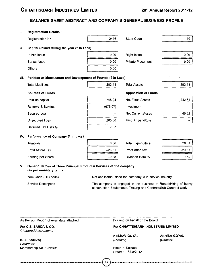#### **BALANCE SHEET ABSTRACT AND COMPANY'S GENERAL BUSINESS PROFILE**

| 1.  | <b>Registraction Details:</b>                                                                                         |          |                                                          |                  |
|-----|-----------------------------------------------------------------------------------------------------------------------|----------|----------------------------------------------------------|------------------|
|     | Registraction No.                                                                                                     | 2416     | State Code                                               | 10 <sup>10</sup> |
| Ш.  | Capital Raised during the year $($ ₹ In Lacs)                                                                         |          |                                                          |                  |
|     | Public Issue                                                                                                          | 0.00     | <b>Right Issue</b>                                       | 0.00             |
|     | <b>Bonus Issue</b>                                                                                                    | 0.00     | <b>Private Placement</b>                                 | 0.00             |
|     | <b>Others</b>                                                                                                         | 0.00     |                                                          |                  |
| M.  | Position of Mobilisation and Development of Founds (₹ In Lacs)                                                        |          |                                                          |                  |
|     | <b>Total Liabilities</b>                                                                                              | 283.43   | <b>Total Assets</b>                                      | 283.43           |
|     | <b>Sources of Funds</b>                                                                                               |          | <b>Application of Funds</b>                              |                  |
|     | Paid up capital                                                                                                       | 748.94   | <b>Net Fixed Assets</b>                                  | 242.61           |
|     | Reserve & Surplus                                                                                                     | (676.97) | Investment                                               |                  |
|     | Secured Loan                                                                                                          |          | <b>Net Current Asses</b>                                 | 40.82            |
|     | Unsecured Loan                                                                                                        | 203.30   | Misc. Expenditure                                        |                  |
|     | Deferred Tax Liability                                                                                                | 7.37     |                                                          |                  |
| IV. | Performance of Company (₹ In Lacs)                                                                                    |          |                                                          |                  |
|     | Turnover                                                                                                              | 0.00     | <b>Total Expenditure</b>                                 | 20.81            |
|     | Profit before Tax                                                                                                     | $-20.81$ | Profit After Tax                                         | $-20.81$         |
|     | Earning per Share                                                                                                     | $-0.28$  | Dividend Rate %                                          | $0\%$            |
| V.  | Generic Names of Three Principal Products/ Services of the company<br>(as per monetary terms)<br>Item Code (ITC code) |          | Not applicable, since the company is in service industry |                  |

| Service Description | The company is engaged in the business of Rental/Hiring of heavy |
|---------------------|------------------------------------------------------------------|
|                     | construction Equipments, Trading and Contract/Sub-Contract work. |

| As Per our Report of even date attached. |  |  |  |  |  |  |  |  |
|------------------------------------------|--|--|--|--|--|--|--|--|
|------------------------------------------|--|--|--|--|--|--|--|--|

For **C.S. SARDA & CO.** *Chartered Accountants*

**(C.S. SARDA)** *Proprietor* Membership No. : 056406 For and on behalf of the Board

#### For **CHHATTISGARH INDUSTRIES LIMITED**

**KESHAV GOYAL** *(Director)*

**ASHISH GOYAL** *(Director)*

Place ; Kolkata Dated : 18/08/2012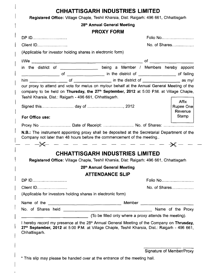|                                                                                                     | 28th Annual General Meeting                                                                                                                                                                              |
|-----------------------------------------------------------------------------------------------------|----------------------------------------------------------------------------------------------------------------------------------------------------------------------------------------------------------|
|                                                                                                     | <b>PROXY FORM</b>                                                                                                                                                                                        |
| DP ID                                                                                               | Folio No                                                                                                                                                                                                 |
| Client ID                                                                                           | No. of Shares                                                                                                                                                                                            |
| (Applicable for investor holding shares in electronic form)                                         |                                                                                                                                                                                                          |
|                                                                                                     |                                                                                                                                                                                                          |
|                                                                                                     | in the district of _________________ being a Member / Members hereby appoint                                                                                                                             |
|                                                                                                     |                                                                                                                                                                                                          |
|                                                                                                     | our proxy to attend and vote for me/us on my/our behalf at the Annual General Meeting of the                                                                                                             |
| Teshil Kharsia, Dist.: Raigarh - 496 661, Chhattisgarh.                                             | company to be held on Thursday, the 27 <sup>th</sup> September, 2012 at 5:00 P.M. at Village Chaple,<br><b>Affix</b><br>Rupee One<br>Revenue                                                             |
| For Office use:                                                                                     | Stamp                                                                                                                                                                                                    |
|                                                                                                     |                                                                                                                                                                                                          |
| Company not later than 48 hours before the commencement of the meeting                              | N.B.: The instrument appointing proxy shall be deposited at the Secretarial Department of the<br>- -X - - - - - - - - - - - X -                                                                          |
|                                                                                                     | <b>CHHATTISGARH INDUSTRIES LIMITED</b>                                                                                                                                                                   |
|                                                                                                     | Registered Office: Village Chaple, Teshil Kharsia, Dist: Raigarh: 496 661, Chhattisgarh                                                                                                                  |
|                                                                                                     | 28th Annual General Meeting                                                                                                                                                                              |
|                                                                                                     | <b>ATTENDANCE SLIP</b>                                                                                                                                                                                   |
|                                                                                                     | Folio No                                                                                                                                                                                                 |
|                                                                                                     |                                                                                                                                                                                                          |
|                                                                                                     | No. of Shares                                                                                                                                                                                            |
|                                                                                                     |                                                                                                                                                                                                          |
|                                                                                                     |                                                                                                                                                                                                          |
|                                                                                                     |                                                                                                                                                                                                          |
|                                                                                                     | (To be filled only where a proxy attends the meeting).                                                                                                                                                   |
|                                                                                                     | I hereby record my presence at the 28 <sup>th</sup> Annual General Meeting of the Company on Thrusday,<br>27th September, 2012 at 5:00 P.M. at Village Chaple, Teshil Kharsia, Dist.: Raigarh - 496 661, |
| DP ID<br>Client ID<br>(Applicable for investors holding shares in electronic form)<br>Chhattisgarh. | Signature of Member/Proxy                                                                                                                                                                                |